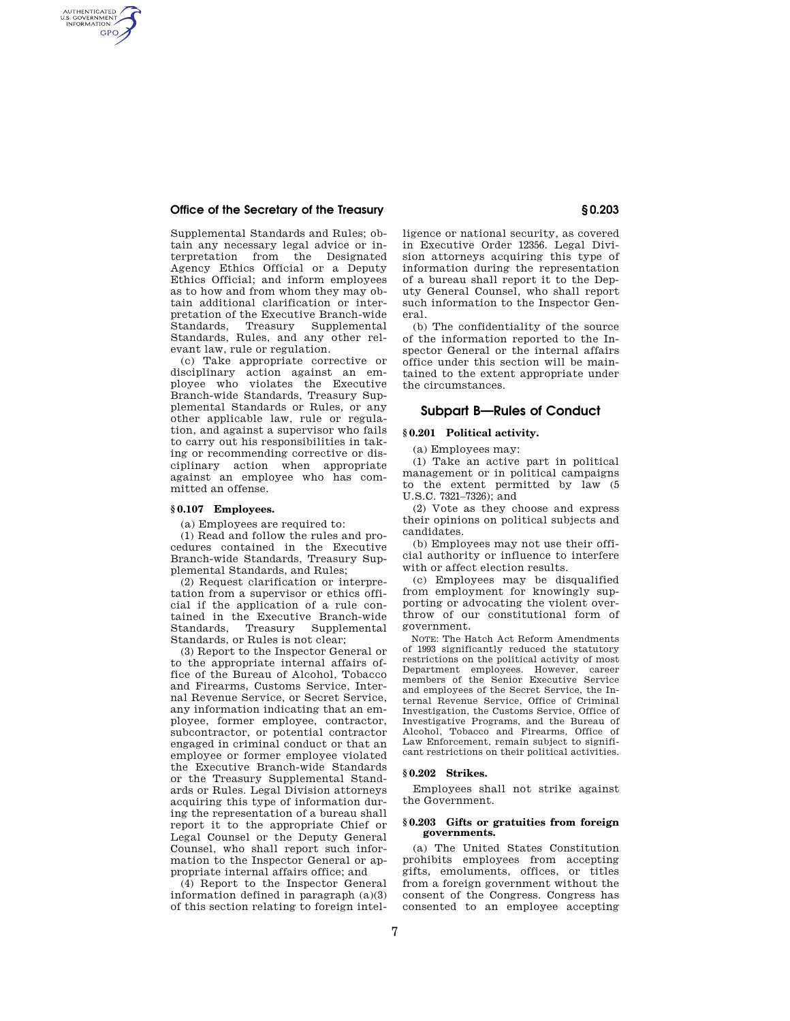# **Office of the Secretary of the Treasury § 0.203**

AUTHENTICATED<br>U.S. GOVERNMENT<br>INFORMATION **GPO** 

> Supplemental Standards and Rules; obtain any necessary legal advice or interpretation from the Designated Agency Ethics Official or a Deputy Ethics Official; and inform employees as to how and from whom they may obtain additional clarification or interpretation of the Executive Branch-wide<br>Standards, Treasury Supplemental Standards, Treasury Supplemental Standards, Rules, and any other relevant law, rule or regulation.

> (c) Take appropriate corrective or disciplinary action against an employee who violates the Executive Branch-wide Standards, Treasury Supplemental Standards or Rules, or any other applicable law, rule or regulation, and against a supervisor who fails to carry out his responsibilities in taking or recommending corrective or disciplinary action when appropriate against an employee who has committed an offense.

# **§ 0.107 Employees.**

(a) Employees are required to:

(1) Read and follow the rules and procedures contained in the Executive Branch-wide Standards, Treasury Supplemental Standards, and Rules;

(2) Request clarification or interpretation from a supervisor or ethics official if the application of a rule contained in the Executive Branch-wide Standards, Treasury Supplemental Standards, or Rules is not clear;

(3) Report to the Inspector General or to the appropriate internal affairs office of the Bureau of Alcohol, Tobacco and Firearms, Customs Service, Internal Revenue Service, or Secret Service, any information indicating that an employee, former employee, contractor, subcontractor, or potential contractor engaged in criminal conduct or that an employee or former employee violated the Executive Branch-wide Standards or the Treasury Supplemental Standards or Rules. Legal Division attorneys acquiring this type of information during the representation of a bureau shall report it to the appropriate Chief or Legal Counsel or the Deputy General Counsel, who shall report such information to the Inspector General or appropriate internal affairs office; and

(4) Report to the Inspector General information defined in paragraph (a)(3) of this section relating to foreign intelligence or national security, as covered in Executive Order 12356. Legal Division attorneys acquiring this type of information during the representation of a bureau shall report it to the Deputy General Counsel, who shall report such information to the Inspector General.

(b) The confidentiality of the source of the information reported to the Inspector General or the internal affairs office under this section will be maintained to the extent appropriate under the circumstances.

# **Subpart B—Rules of Conduct**

# **§ 0.201 Political activity.**

(a) Employees may:

(1) Take an active part in political management or in political campaigns to the extent permitted by law (5 U.S.C. 7321–7326); and

(2) Vote as they choose and express their opinions on political subjects and candidates.

(b) Employees may not use their official authority or influence to interfere with or affect election results.

(c) Employees may be disqualified from employment for knowingly supporting or advocating the violent overthrow of our constitutional form of government.

NOTE: The Hatch Act Reform Amendments of 1993 significantly reduced the statutory restrictions on the political activity of most Department employees. However, career members of the Senior Executive Service and employees of the Secret Service, the Internal Revenue Service, Office of Criminal Investigation, the Customs Service, Office of Investigative Programs, and the Bureau of Alcohol, Tobacco and Firearms, Office of Law Enforcement, remain subject to significant restrictions on their political activities.

#### **§ 0.202 Strikes.**

Employees shall not strike against the Government.

## **§ 0.203 Gifts or gratuities from foreign governments.**

(a) The United States Constitution prohibits employees from accepting gifts, emoluments, offices, or titles from a foreign government without the consent of the Congress. Congress has consented to an employee accepting